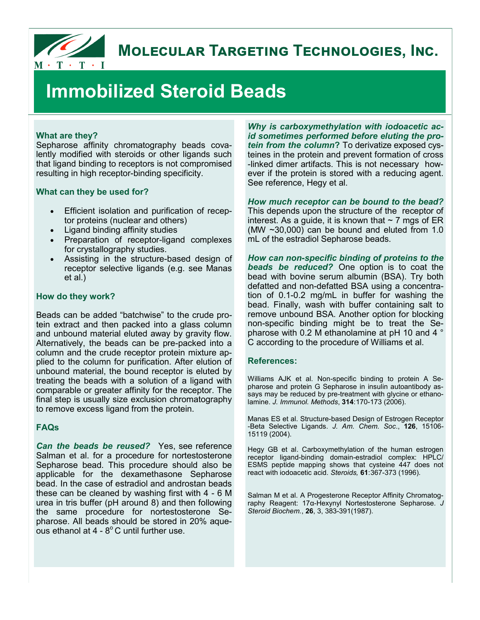

# **MOLECULAR TARGETING TECHNOLOGIES, INC.**

# **Immobilized Steroid Beads**

#### **What are they?**

Sepharose affinity chromatography beads covalently modified with steroids or other ligands such that ligand binding to receptors is not compromised resulting in high receptor-binding specificity.

#### **What can they be used for?**

- Efficient isolation and purification of receptor proteins (nuclear and others)
- Ligand binding affinity studies
- Preparation of receptor-ligand complexes for crystallography studies.
- Assisting in the structure-based design of receptor selective ligands (e.g. see Manas et al.)

#### **How do they work?**

Beads can be added "batchwise" to the crude protein extract and then packed into a glass column and unbound material eluted away by gravity flow. Alternatively, the beads can be pre-packed into a column and the crude receptor protein mixture applied to the column for purification. After elution of unbound material, the bound receptor is eluted by treating the beads with a solution of a ligand with comparable or greater affinity for the receptor. The final step is usually size exclusion chromatography to remove excess ligand from the protein.

#### **FAQs**

*Can the beads be reused?*Yes, see reference Salman et al. for a procedure for nortestosterone Sepharose bead. This procedure should also be applicable for the dexamethasone Sepharose bead. In the case of estradiol and androstan beads these can be cleaned by washing first with 4 - 6 M urea in tris buffer (pH around 8) and then following the same procedure for nortestosterone Sepharose. All beads should be stored in 20% aqueous ethanol at 4 -  $8^{\circ}$ C until further use.

*Why is carboxymethylation with iodoacetic acid sometimes performed before eluting the protein from the column***?** To derivatize exposed cysteines in the protein and prevent formation of cross -linked dimer artifacts. This is not necessary however if the protein is stored with a reducing agent. See reference, Hegy et al.

*How much receptor can be bound to the bead?* This depends upon the structure of the receptor of interest. As a quide, it is known that  $\sim$  7 mgs of ER (MW ~30,000) can be bound and eluted from 1.0 mL of the estradiol Sepharose beads.

*How can non-specific binding of proteins to the beads be reduced?* One option is to coat the bead with bovine serum albumin (BSA). Try both defatted and non-defatted BSA using a concentration of 0.1-0.2 mg/mL in buffer for washing the bead. Finally, wash with buffer containing salt to remove unbound BSA. Another option for blocking non-specific binding might be to treat the Sepharose with 0.2 M ethanolamine at pH 10 and 4 ° C according to the procedure of Williams et al.

#### **References:**

Williams AJK et al. Non-specific binding to protein A Sepharose and protein G Sepharose in insulin autoantibody assays may be reduced by pre-treatment with glycine or ethanolamine. *J. Immunol. Methods*, **314**:170-173 (2006).

Manas ES et al. Structure-based Design of Estrogen Receptor -Beta Selective Ligands. *J. Am. Chem. Soc*., **126**, 15106- 15119 (2004).

Hegy GB et al. Carboxymethylation of the human estrogen receptor ligand-binding domain-estradiol complex: HPLC/ ESMS peptide mapping shows that cysteine 447 does not react with iodoacetic acid. *Steroids,* **61**:367-373 (1996).

Salman M et al. A Progesterone Receptor Affinity Chromatography Reagent: 17α-Hexynyl Nortestosterone Sepharose. *J Steroid Biochem.*, **26**, 3, 383-391(1987).